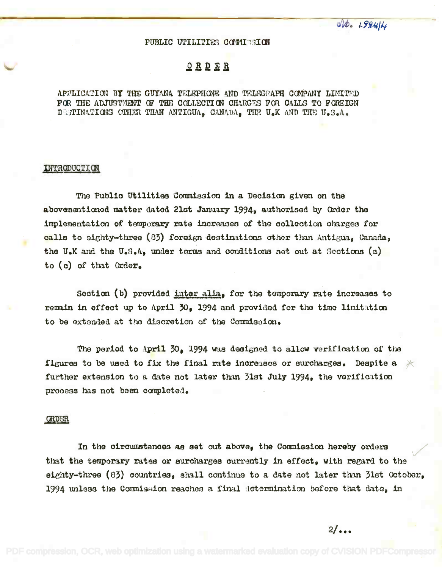$ab - 199414$ 

## PUBLIC UPILITIES COMMISSION

## ORDER

APPLICATION BY THE GUYANA TELEPHONE AND TELEGRAPH COMPANY LIMITED FOR THE ADJUSTMENT OF THE COLLECTION CHARGES FOR CALLS TO FOREIGN DESTINATIONS OTHER THAN ANTIGUA, CANADA, THE U.K AND THE U.S.A.

## INTRODUCTION

The Public Utilities Commission in a Decision given on the abovementioned matter dated 21st January 1994, authorised by Order the implementation of temporary rate increases of the collection charges for calls to eighty-three (83) foreign destinations other than Antigua, Canada, the U.K and the U.S.A. under terms and conditions set out at Sections  $(a)$ to (c) of that Order.

Section (b) provided inter alia, for the temporary rate increases to remain in effect up to April 30. 1994 and provided for the time limitation to be extended at the discretion of the Commission.

The period to April 30, 1994 was designed to allow verification of the figures to be used to fix the final rate increases or surcharges. Despite a further extension to a date not later than 31st July 1994, the verification process has not been completed.

## **ORDER**

In the circumstances as set out above, the Commission hereby orders that the temporary rates or surcharges currently in effect, with regard to the eighty-three (83) countries, shall continue to a date not later than 31st October. 1994 unless the Commission reaches a final determination before that date, in

 $2/\ldots$